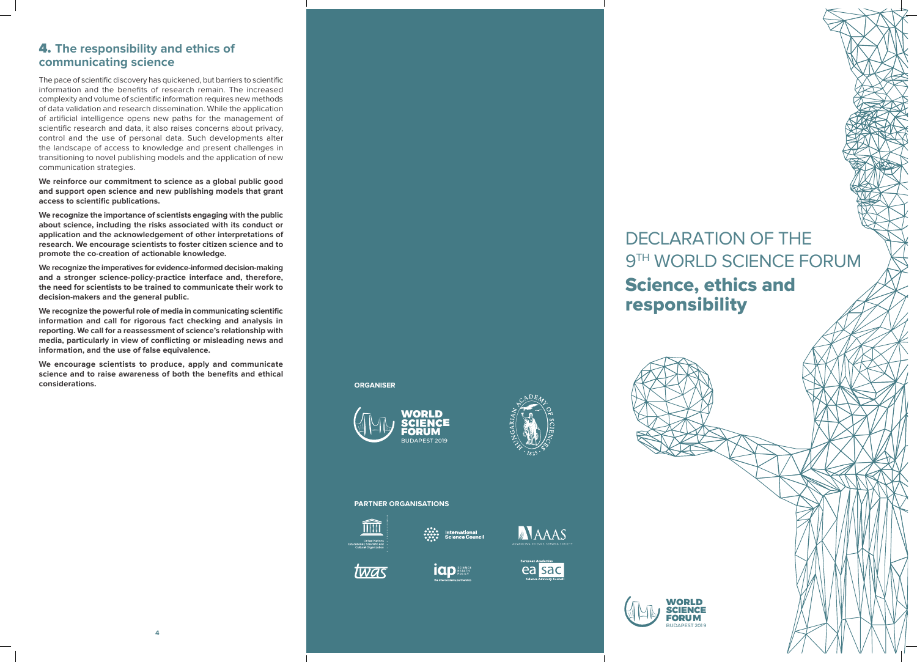# DECLARATION OF THE 9TH WORLD SCIENCE FORUM **Science, ethics and responsibility**



4. **The responsibility and ethics of communicating science**

The pace of scientific discovery has quickened, but barriers to scientific information and the benefits of research remain. The increased complexity and volume of scientific information requires new methods of data validation and research dissemination. While the application of artificial intelligence opens new paths for the management of scientific research and data, it also raises concerns about privacy, control and the use of personal data. Such developments alter the landscape of access to knowledge and present challenges in transitioning to novel publishing models and the application of new communication strategies.

**We reinforce our commitment to science as a global public good and support open science and new publishing models that grant access to scientific publications.**

**We recognize the importance of scientists engaging with the public about science, including the risks associated with its conduct or application and the acknowledgement of other interpretations of research. We encourage scientists to foster citizen science and to promote the co-creation of actionable knowledge.**

**We recognize the imperatives for evidence-informed decision-making and a stronger science-policy-practice interface and, therefore, the need for scientists to be trained to communicate their work to decision-makers and the general public.**

**We recognize the powerful role of media in communicating scientific information and call for rigorous fact checking and analysis in reporting. We call for a reassessment of science's relationship with media, particularly in view of conflicting or misleading news and information, and the use of false equivalence.**

**We encourage scientists to produce, apply and communicate science and to raise awareness of both the benefits and ethical considerations.**

### **PARTNER ORGANISATIONS**



twas





**idp between** 









**ORGANISER**